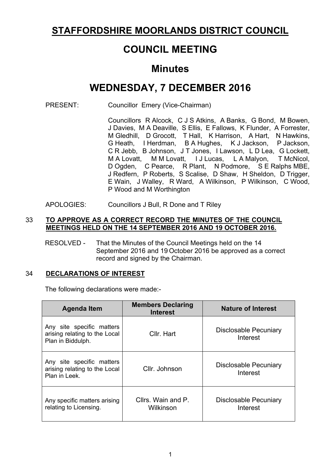## **STAFFORDSHIRE MOORLANDS DISTRICT COUNCIL**

# **COUNCIL MEETING**

## **Minutes**

# **WEDNESDAY, 7 DECEMBER 2016**

PRESENT: Councillor Emery (Vice-Chairman)

Councillors R Alcock, C J S Atkins, A Banks, G Bond, M Bowen, J Davies, M A Deaville, S Ellis, E Fallows, K Flunder, A Forrester, M Gledhill, D Grocott, T Hall, K Harrison, A Hart, N Hawkins, G Heath, I Herdman, B A Hughes, K J Jackson, P Jackson, C R Jebb, B Johnson, J T Jones, I Lawson, L D Lea, G Lockett, M A Lovatt, M M Lovatt, I J Lucas, L A Malyon, T McNicol, D Ogden, C Pearce, R Plant, N Podmore, S E Ralphs MBE, J Redfern, P Roberts, S Scalise, D Shaw, H Sheldon, D Trigger, E Wain, J Walley, R Ward, A Wilkinson, P Wilkinson, C Wood, P Wood and M Worthington

APOLOGIES: Councillors J Bull, R Done and T Riley

## 33 **TO APPROVE AS A CORRECT RECORD THE MINUTES OF THE COUNCIL MEETINGS HELD ON THE 14 SEPTEMBER 2016 AND 19 OCTOBER 2016.**

RESOLVED - That the Minutes of the Council Meetings held on the 14 September 2016 and 19 October 2016 be approved as a correct record and signed by the Chairman.

## 34 **DECLARATIONS OF INTEREST**

The following declarations were made:-

| <b>Agenda Item</b>                                                              | <b>Members Declaring</b><br><b>Interest</b> | <b>Nature of Interest</b>                |
|---------------------------------------------------------------------------------|---------------------------------------------|------------------------------------------|
| Any site specific matters<br>arising relating to the Local<br>Plan in Biddulph. | Cllr. Hart                                  | Disclosable Pecuniary<br>Interest        |
| Any site specific matters<br>arising relating to the Local<br>Plan in Leek.     | Cllr. Johnson                               | <b>Disclosable Pecuniary</b><br>Interest |
| Any specific matters arising<br>relating to Licensing.                          | Cllrs. Wain and P.<br>Wilkinson             | <b>Disclosable Pecuniary</b><br>Interest |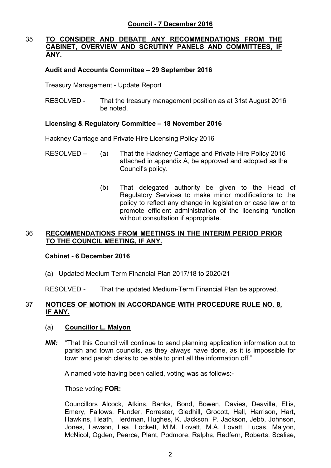## 35 **TO CONSIDER AND DEBATE ANY RECOMMENDATIONS FROM THE CABINET, OVERVIEW AND SCRUTINY PANELS AND COMMITTEES, IF ANY.**

## **Audit and Accounts Committee – 29 September 2016**

Treasury Management - Update Report

RESOLVED - That the treasury management position as at 31st August 2016 be noted.

## **Licensing & Regulatory Committee – 18 November 2016**

Hackney Carriage and Private Hire Licensing Policy 2016

- RESOLVED (a) That the Hackney Carriage and Private Hire Policy 2016 attached in appendix A, be approved and adopted as the Council's policy.
	- (b) That delegated authority be given to the Head of Regulatory Services to make minor modifications to the policy to reflect any change in legislation or case law or to promote efficient administration of the licensing function without consultation if appropriate.

## 36 **RECOMMENDATIONS FROM MEETINGS IN THE INTERIM PERIOD PRIOR TO THE COUNCIL MEETING, IF ANY.**

#### **Cabinet - 6 December 2016**

(a) Updated Medium Term Financial Plan 2017/18 to 2020/21

RESOLVED *-* That the updated Medium-Term Financial Plan be approved.

## 37 **NOTICES OF MOTION IN ACCORDANCE WITH PROCEDURE RULE NO. 8, IF ANY.**

#### (a) **Councillor L. Malyon**

**NM:** "That this Council will continue to send planning application information out to parish and town councils, as they always have done, as it is impossible for town and parish clerks to be able to print all the information off."

A named vote having been called, voting was as follows:-

Those voting **FOR:**

Councillors Alcock, Atkins, Banks, Bond, Bowen, Davies, Deaville, Ellis, Emery, Fallows, Flunder, Forrester, Gledhill, Grocott, Hall, Harrison, Hart, Hawkins, Heath, Herdman, Hughes, K. Jackson, P. Jackson, Jebb, Johnson, Jones, Lawson, Lea, Lockett, M.M. Lovatt, M.A. Lovatt, Lucas, Malyon, McNicol, Ogden, Pearce, Plant, Podmore, Ralphs, Redfern, Roberts, Scalise,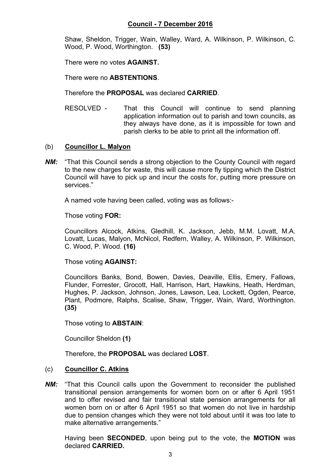Shaw, Sheldon, Trigger, Wain, Walley, Ward, A. Wilkinson, P. Wilkinson, C. Wood, P. Wood, Worthington. **(53)**

There were no votes **AGAINST.**

There were no **ABSTENTIONS**.

Therefore the **PROPOSAL** was declared **CARRIED**.

RESOLVED - That this Council will continue to send planning application information out to parish and town councils, as they always have done, as it is impossible for town and parish clerks to be able to print all the information off.

## (b) **Councillor L. Malyon**

*NM:* "That this Council sends a strong objection to the County Council with regard to the new charges for waste, this will cause more fly tipping which the District Council will have to pick up and incur the costs for, putting more pressure on services."

A named vote having been called, voting was as follows:-

Those voting **FOR:**

Councillors Alcock, Atkins, Gledhill, K. Jackson, Jebb, M.M. Lovatt, M.A. Lovatt, Lucas, Malyon, McNicol, Redfern, Walley, A. Wilkinson, P. Wilkinson, C. Wood, P. Wood. **(16)**

Those voting **AGAINST:**

Councillors Banks, Bond, Bowen, Davies, Deaville, Ellis, Emery, Fallows, Flunder, Forrester, Grocott, Hall, Harrison, Hart, Hawkins, Heath, Herdman, Hughes, P. Jackson, Johnson, Jones, Lawson, Lea, Lockett, Ogden, Pearce, Plant, Podmore, Ralphs, Scalise, Shaw, Trigger, Wain, Ward, Worthington. **(35)**

Those voting to **ABSTAIN**:

Councillor Sheldon **(1)**

Therefore, the **PROPOSAL** was declared **LOST**.

## (c) **Councillor C. Atkins**

*NM:* "That this Council calls upon the Government to reconsider the published transitional pension arrangements for women born on or after 6 April 1951 and to offer revised and fair transitional state pension arrangements for all women born on or after 6 April 1951 so that women do not live in hardship due to pension changes which they were not told about until it was too late to make alternative arrangements."

Having been **SECONDED**, upon being put to the vote, the **MOTION** was declared **CARRIED.**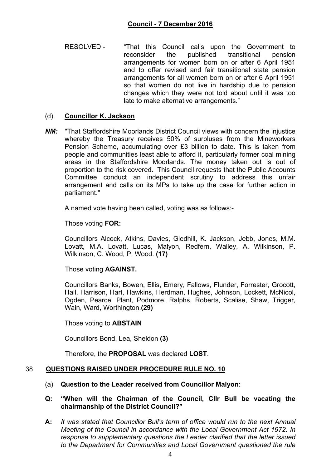RESOLVED - "That this Council calls upon the Government to reconsider the published transitional pension arrangements for women born on or after 6 April 1951 and to offer revised and fair transitional state pension arrangements for all women born on or after 6 April 1951 so that women do not live in hardship due to pension changes which they were not told about until it was too late to make alternative arrangements."

## (d) **Councillor K. Jackson**

**NM:** "That Staffordshire Moorlands District Council views with concern the injustice whereby the Treasury receives 50% of surpluses from the Mineworkers Pension Scheme, accumulating over £3 billion to date. This is taken from people and communities least able to afford it, particularly former coal mining areas in the Staffordshire Moorlands. The money taken out is out of proportion to the risk covered. This Council requests that the Public Accounts Committee conduct an independent scrutiny to address this unfair arrangement and calls on its MPs to take up the case for further action in parliament."

A named vote having been called, voting was as follows:-

Those voting **FOR:**

Councillors Alcock, Atkins, Davies, Gledhill, K. Jackson, Jebb, Jones, M.M. Lovatt, M.A. Lovatt, Lucas, Malyon, Redfern, Walley, A. Wilkinson, P. Wilkinson, C. Wood, P. Wood. **(17)**

Those voting **AGAINST.**

Councillors Banks, Bowen, Ellis, Emery, Fallows, Flunder, Forrester, Grocott, Hall, Harrison, Hart, Hawkins, Herdman, Hughes, Johnson, Lockett, McNicol, Ogden, Pearce, Plant, Podmore, Ralphs, Roberts, Scalise, Shaw, Trigger, Wain, Ward, Worthington.**(29)**

Those voting to **ABSTAIN**

Councillors Bond, Lea, Sheldon **(3)**

Therefore, the **PROPOSAL** was declared **LOST**.

## 38 **QUESTIONS RAISED UNDER PROCEDURE RULE NO. 10**

## (a) **Question to the Leader received from Councillor Malyon:**

- **Q: "When will the Chairman of the Council, Cllr Bull be vacating the chairmanship of the District Council?"**
- **A:** *It was stated that Councillor Bull's term of office would run to the next Annual Meeting of the Council in accordance with the Local Government Act 1972. In response to supplementary questions the Leader clarified that the letter issued to the Department for Communities and Local Government questioned the rule*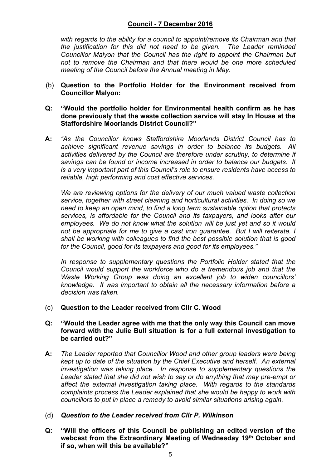## **Council - 7 December 2016**

*with regards to the ability for a council to appoint/remove its Chairman and that the justification for this did not need to be given. The Leader reminded Councillor Malyon that the Council has the right to appoint the Chairman but not to remove the Chairman and that there would be one more scheduled meeting of the Council before the Annual meeting in May.*

- (b) **Question to the Portfolio Holder for the Environment received from Councillor Malyon:**
- **Q: "Would the portfolio holder for Environmental health confirm as he has done previously that the waste collection service will stay In House at the Staffordshire Moorlands District Council?"**
- **A:** *"As the Councillor knows Staffordshire Moorlands District Council has to achieve significant revenue savings in order to balance its budgets. All activities delivered by the Council are therefore under scrutiny, to determine if savings can be found or income increased in order to balance our budgets. It is a very important part of this Council's role to ensure residents have access to reliable, high performing and cost effective services.*

*We are reviewing options for the delivery of our much valued waste collection service, together with street cleaning and horticultural activities. In doing so we need to keep an open mind, to find a long term sustainable option that protects services, is affordable for the Council and its taxpayers, and looks after our employees. We do not know what the solution will be just yet and so it would not be appropriate for me to give a cast iron guarantee. But I will reiterate, I shall be working with colleagues to find the best possible solution that is good for the Council, good for its taxpayers and good for its employees."*

*In response to supplementary questions the Portfolio Holder stated that the Council would support the workforce who do a tremendous job and that the Waste Working Group was doing an excellent job to widen councillors' knowledge. It was important to obtain all the necessary information before a decision was taken.*

- (c) **Question to the Leader received from Cllr C. Wood**
- **Q: "Would the Leader agree with me that the only way this Council can move forward with the Julie Bull situation is for a full external investigation to be carried out?"**
- **A:** *The Leader reported that Councillor Wood and other group leaders were being kept up to date of the situation by the Chief Executive and herself. An external investigation was taking place. In response to supplementary questions the Leader stated that she did not wish to say or do anything that may pre-empt or affect the external investigation taking place. With regards to the standards complaints process the Leader explained that she would be happy to work with councillors to put in place a remedy to avoid similar situations arising again.*
- (d) *Question to the Leader received from Cllr P. Wilkinson*
- **Q: "Will the officers of this Council be publishing an edited version of the webcast from the Extraordinary Meeting of Wednesday 19th October and if so, when will this be available?"**